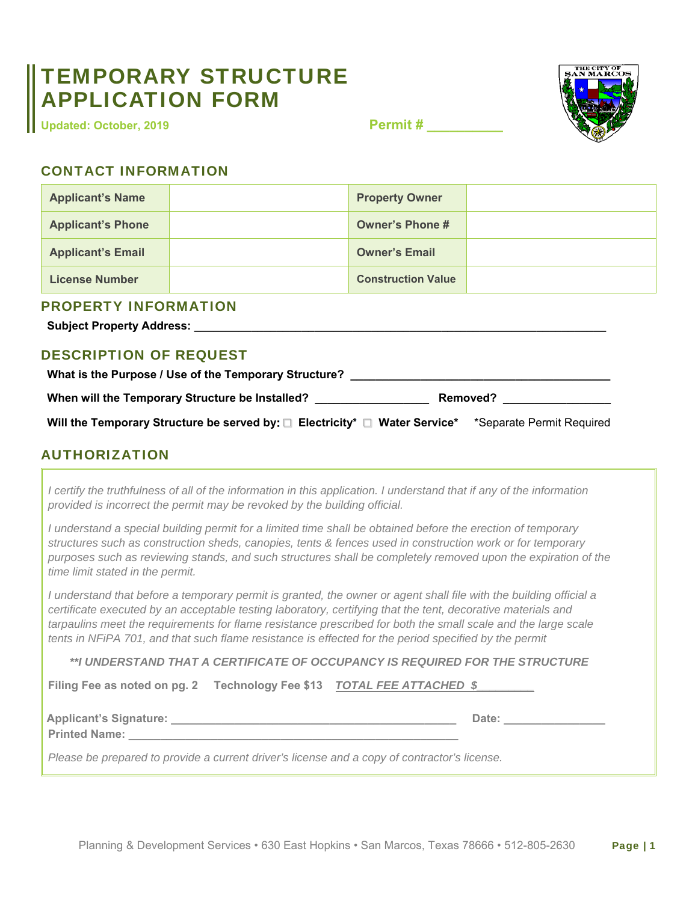## TEMPORARY STRUCTURE APPLICATION FORM

**Updated: October, 2019**

**Permit # \_\_\_\_\_\_\_\_\_\_** 



## CONTACT INFORMATION

| <b>Applicant's Name</b>                                                                                                                                                              |  | <b>Property Owner</b>     |  |  |
|--------------------------------------------------------------------------------------------------------------------------------------------------------------------------------------|--|---------------------------|--|--|
| <b>Applicant's Phone</b>                                                                                                                                                             |  | <b>Owner's Phone #</b>    |  |  |
| <b>Applicant's Email</b>                                                                                                                                                             |  | <b>Owner's Email</b>      |  |  |
| <b>License Number</b>                                                                                                                                                                |  | <b>Construction Value</b> |  |  |
| <b>PROPERTY INFORMATION</b><br><b>Subject Property Address:</b><br><b>DESCRIPTION OF REQUEST</b><br>What is the Purpose / Use of the Temporary Structure? __________________________ |  |                           |  |  |
| When will the Temporary Structure be Installed?<br><b>Removed?</b>                                                                                                                   |  |                           |  |  |
| Will the Temporary Structure be served by: □ Electricity* □ Water Service* *Separate Permit Required                                                                                 |  |                           |  |  |
| <b>AUTHORIZATION</b>                                                                                                                                                                 |  |                           |  |  |

*I certify the truthfulness of all of the information in this application. I understand that if any of the information provided is incorrect the permit may be revoked by the building official.*

*I understand a special building permit for a limited time shall be obtained before the erection of temporary structures such as construction sheds, canopies, tents & fences used in construction work or for temporary purposes such as reviewing stands, and such structures shall be completely removed upon the expiration of the time limit stated in the permit.* 

*I understand that before a temporary permit is granted, the owner or agent shall file with the building official a certificate executed by an acceptable testing laboratory, certifying that the tent, decorative materials and tarpaulins meet the requirements for flame resistance prescribed for both the small scale and the large scale tents in NFiPA 701, and that such flame resistance is effected for the period specified by the permit* 

*\*\*I UNDERSTAND THAT A CERTIFICATE OF OCCUPANCY IS REQUIRED FOR THE STRUCTURE* 

**Filing Fee as noted on pg. 2 Technology Fee \$13** *TOTAL FEE ATTACHED \$\_\_\_\_\_\_\_\_\_*

**Applicant's Signature: \_\_\_\_\_\_\_\_\_\_\_\_\_\_\_\_\_\_\_\_\_\_\_\_\_\_\_\_\_\_\_\_\_\_\_\_\_\_\_\_\_\_\_\_\_ Date: \_\_\_\_\_\_\_\_\_\_\_\_\_\_\_\_** 

**Printed Name:** 

*Please be prepared to provide a current driver's license and a copy of contractor's license.*